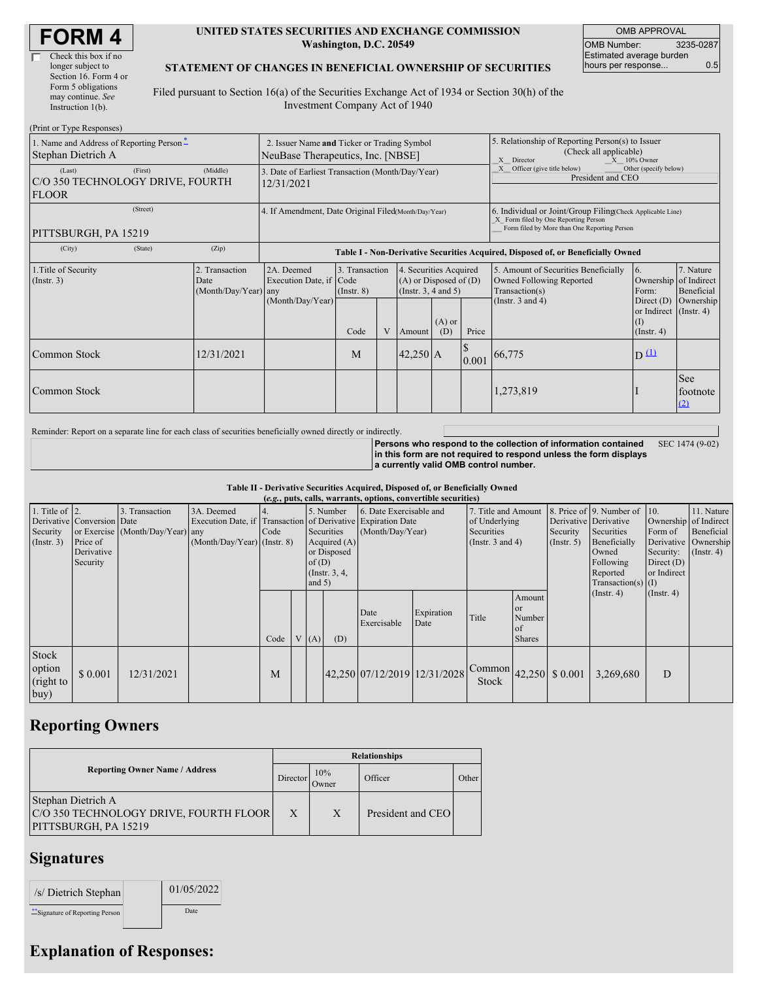| <b>FORM4</b> |
|--------------|
|--------------|

#### **UNITED STATES SECURITIES AND EXCHANGE COMMISSION Washington, D.C. 20549**

OMB APPROVAL OMB Number: 3235-0287 Estimated average burden hours per response... 0.5

### **STATEMENT OF CHANGES IN BENEFICIAL OWNERSHIP OF SECURITIES**

Filed pursuant to Section 16(a) of the Securities Exchange Act of 1934 or Section 30(h) of the Investment Company Act of 1940

| (Print or Type Responses)                                             |                                                                                  |                                                                                  |                                    |              |                                                                              |                 |                                                                                                                                                    |                                                                                    |                                                                 |                         |  |
|-----------------------------------------------------------------------|----------------------------------------------------------------------------------|----------------------------------------------------------------------------------|------------------------------------|--------------|------------------------------------------------------------------------------|-----------------|----------------------------------------------------------------------------------------------------------------------------------------------------|------------------------------------------------------------------------------------|-----------------------------------------------------------------|-------------------------|--|
| 1. Name and Address of Reporting Person-<br>Stephan Dietrich A        | 2. Issuer Name and Ticker or Trading Symbol<br>NeuBase Therapeutics, Inc. [NBSE] |                                                                                  |                                    |              |                                                                              |                 | 5. Relationship of Reporting Person(s) to Issuer<br>(Check all applicable)<br>$X = 10\%$ Owner<br>X Director                                       |                                                                                    |                                                                 |                         |  |
| (First)<br>(Last)<br>C/O 350 TECHNOLOGY DRIVE, FOURTH<br><b>FLOOR</b> | 3. Date of Earliest Transaction (Month/Day/Year)<br>12/31/2021                   |                                                                                  |                                    |              |                                                                              |                 | X Officer (give title below)<br>President and CEO                                                                                                  | Other (specify below)                                                              |                                                                 |                         |  |
| (Street)<br>PITTSBURGH, PA 15219                                      | 4. If Amendment, Date Original Filed(Month/Day/Year)                             |                                                                                  |                                    |              |                                                                              |                 | 6. Individual or Joint/Group Filing(Check Applicable Line)<br>X Form filed by One Reporting Person<br>Form filed by More than One Reporting Person |                                                                                    |                                                                 |                         |  |
| (City)<br>(State)                                                     | (Zip)                                                                            | Table I - Non-Derivative Securities Acquired, Disposed of, or Beneficially Owned |                                    |              |                                                                              |                 |                                                                                                                                                    |                                                                                    |                                                                 |                         |  |
| 1. Title of Security<br>(Insert. 3)                                   | 2. Transaction<br>Date<br>(Month/Day/Year) any                                   | 2A. Deemed<br>Execution Date, if Code                                            | 3. Transaction<br>$($ Instr. 8 $)$ |              | 4. Securities Acquired<br>$(A)$ or Disposed of $(D)$<br>(Insert. 3, 4 and 5) |                 |                                                                                                                                                    | 5. Amount of Securities Beneficially<br>Owned Following Reported<br>Transaction(s) | 16.<br>Ownership of Indirect<br>Form:                           | 7. Nature<br>Beneficial |  |
|                                                                       |                                                                                  | (Month/Day/Year)                                                                 | Code                               | $\mathbf{V}$ | Amount                                                                       | $(A)$ or<br>(D) | Price                                                                                                                                              | (Instr. $3$ and $4$ )                                                              | Direct (D)<br>or Indirect (Instr. 4)<br>(1)<br>$($ Instr. 4 $)$ | Ownership               |  |
| Common Stock                                                          | 12/31/2021                                                                       |                                                                                  | M                                  |              | $42,250$ A                                                                   |                 | 0.001                                                                                                                                              | 66,775                                                                             | $D^{\text{L}}$                                                  |                         |  |
| Common Stock                                                          |                                                                                  |                                                                                  |                                    |              |                                                                              |                 |                                                                                                                                                    | 1,273,819                                                                          |                                                                 | See<br>footnote<br>(2)  |  |

Reminder: Report on a separate line for each class of securities beneficially owned directly or indirectly.

**Persons who respond to the collection of information contained in this form are not required to respond unless the form displays a currently valid OMB control number.** SEC 1474 (9-02)

#### **Table II - Derivative Securities Acquired, Disposed of, or Beneficially Owned**

| (e.g., puts, calls, warrants, options, convertible securities) |                                                                  |                                                                                                                                                                                                                                                                 |  |                |                                             |      |                                                                                    |                              |                                                  |                                                                                                                  |                                                                    |                                                                                                 |                  |                  |  |
|----------------------------------------------------------------|------------------------------------------------------------------|-----------------------------------------------------------------------------------------------------------------------------------------------------------------------------------------------------------------------------------------------------------------|--|----------------|---------------------------------------------|------|------------------------------------------------------------------------------------|------------------------------|--------------------------------------------------|------------------------------------------------------------------------------------------------------------------|--------------------------------------------------------------------|-------------------------------------------------------------------------------------------------|------------------|------------------|--|
| 1. Title of $\vert$ 2.<br>Security<br>(Insert. 3)              | Derivative Conversion Date<br>Price of<br>Derivative<br>Security | 3. Transaction<br>3A. Deemed<br>5. Number<br>Execution Date, if Transaction of Derivative Expiration Date<br>or Exercise (Month/Day/Year) any<br>Code<br>Securities<br>$(Month/Day/Year)$ (Instr. 8)<br>or Disposed<br>of $(D)$<br>(Instr. $3, 4$ )<br>and $5)$ |  | Acquired $(A)$ | 6. Date Exercisable and<br>(Month/Day/Year) |      | 7. Title and Amount<br>of Underlying<br><b>Securities</b><br>(Instr. $3$ and $4$ ) |                              | Derivative Derivative<br>Security<br>(Insert. 5) | 8. Price of 9. Number of<br>Securities<br>Beneficially<br>Owned<br>Following<br>Reported<br>$Transaction(s)$ (I) | $\vert$ 10.<br>Form of<br>Security:<br>Direct $(D)$<br>or Indirect | 11. Nature<br>Ownership of Indirect<br>Beneficial<br>Derivative   Ownership<br>$($ Instr. 4 $)$ |                  |                  |  |
|                                                                |                                                                  |                                                                                                                                                                                                                                                                 |  | Code           |                                             | V(A) | (D)                                                                                | Date<br>Exercisable          | Expiration<br>Date                               | Title                                                                                                            | Amount<br><sub>or</sub><br>Number<br>of<br><b>Shares</b>           |                                                                                                 | $($ Instr. 4 $)$ | $($ Instr. 4 $)$ |  |
| <b>Stock</b><br>option<br>(right to<br>buy                     | \$ 0.001                                                         | 12/31/2021                                                                                                                                                                                                                                                      |  | M              |                                             |      |                                                                                    | 42,250 07/12/2019 12/31/2028 |                                                  | Common<br>Stock                                                                                                  |                                                                    | 42,250 \$ 0.001                                                                                 | 3.269.680        | D                |  |

## **Reporting Owners**

|                                                                                      | <b>Relationships</b> |              |                   |       |  |  |  |  |
|--------------------------------------------------------------------------------------|----------------------|--------------|-------------------|-------|--|--|--|--|
| <b>Reporting Owner Name / Address</b>                                                |                      | 10%<br>Owner | Officer           | Other |  |  |  |  |
| Stephan Dietrich A<br>C/O 350 TECHNOLOGY DRIVE, FOURTH FLOOR<br>PITTSBURGH, PA 15219 | X                    | X            | President and CEO |       |  |  |  |  |

### **Signatures**

| /s/ Dietrich Stephan             | 01/05/2022 |  |
|----------------------------------|------------|--|
| ** Signature of Reporting Person | Date       |  |

# **Explanation of Responses:**